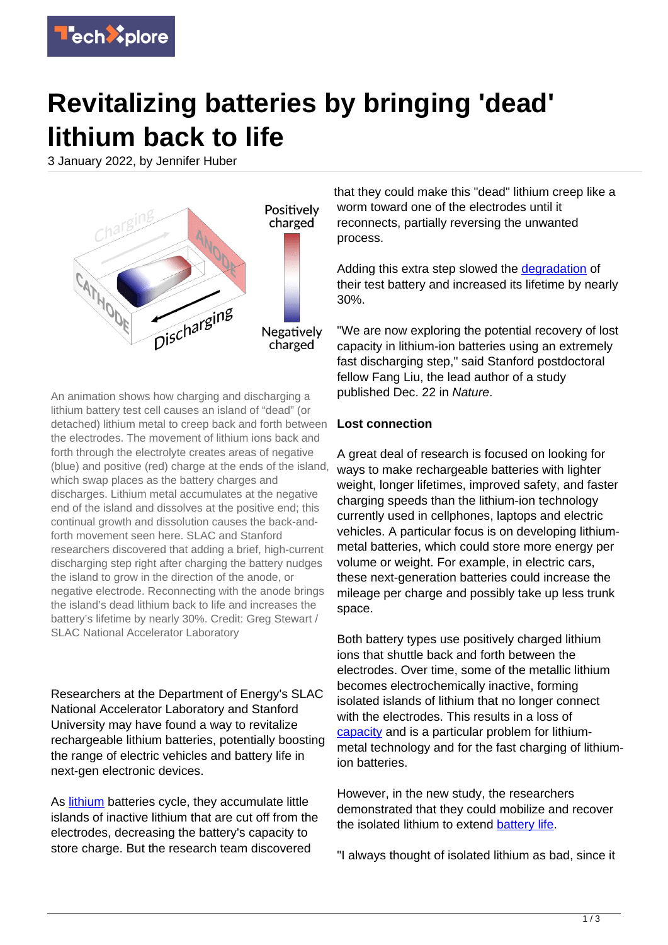

## **Revitalizing batteries by bringing 'dead' lithium back to life**

3 January 2022, by Jennifer Huber



An animation shows how charging and discharging a lithium battery test cell causes an island of "dead" (or detached) lithium metal to creep back and forth between the electrodes. The movement of lithium ions back and forth through the electrolyte creates areas of negative (blue) and positive (red) charge at the ends of the island, which swap places as the battery charges and discharges. Lithium metal accumulates at the negative end of the island and dissolves at the positive end; this continual growth and dissolution causes the back-andforth movement seen here. SLAC and Stanford researchers discovered that adding a brief, high-current discharging step right after charging the battery nudges the island to grow in the direction of the anode, or negative electrode. Reconnecting with the anode brings the island's dead lithium back to life and increases the battery's lifetime by nearly 30%. Credit: Greg Stewart / SLAC National Accelerator Laboratory

Researchers at the Department of Energy's SLAC National Accelerator Laboratory and Stanford University may have found a way to revitalize rechargeable lithium batteries, potentially boosting the range of electric vehicles and battery life in next-gen electronic devices.

As [lithium](https://techxplore.com/tags/lithium/) batteries cycle, they accumulate little islands of inactive lithium that are cut off from the electrodes, decreasing the battery's capacity to store charge. But the research team discovered

that they could make this "dead" lithium creep like a worm toward one of the electrodes until it reconnects, partially reversing the unwanted process.

Adding this extra step slowed the [degradation](https://techxplore.com/tags/degradation/) of their test battery and increased its lifetime by nearly 30%.

"We are now exploring the potential recovery of lost capacity in lithium-ion batteries using an extremely fast discharging step," said Stanford postdoctoral fellow Fang Liu, the lead author of a study published Dec. 22 in Nature.

## **Lost connection**

A great deal of research is focused on looking for ways to make rechargeable batteries with lighter weight, longer lifetimes, improved safety, and faster charging speeds than the lithium-ion technology currently used in cellphones, laptops and electric vehicles. A particular focus is on developing lithiummetal batteries, which could store more energy per volume or weight. For example, in electric cars, these next-generation batteries could increase the mileage per charge and possibly take up less trunk space.

Both battery types use positively charged lithium ions that shuttle back and forth between the electrodes. Over time, some of the metallic lithium becomes electrochemically inactive, forming isolated islands of lithium that no longer connect with the electrodes. This results in a loss of [capacity](https://techxplore.com/tags/capacity/) and is a particular problem for lithiummetal technology and for the fast charging of lithiumion batteries.

However, in the new study, the researchers demonstrated that they could mobilize and recover the isolated lithium to extend [battery life.](https://techxplore.com/tags/battery+life/)

"I always thought of isolated lithium as bad, since it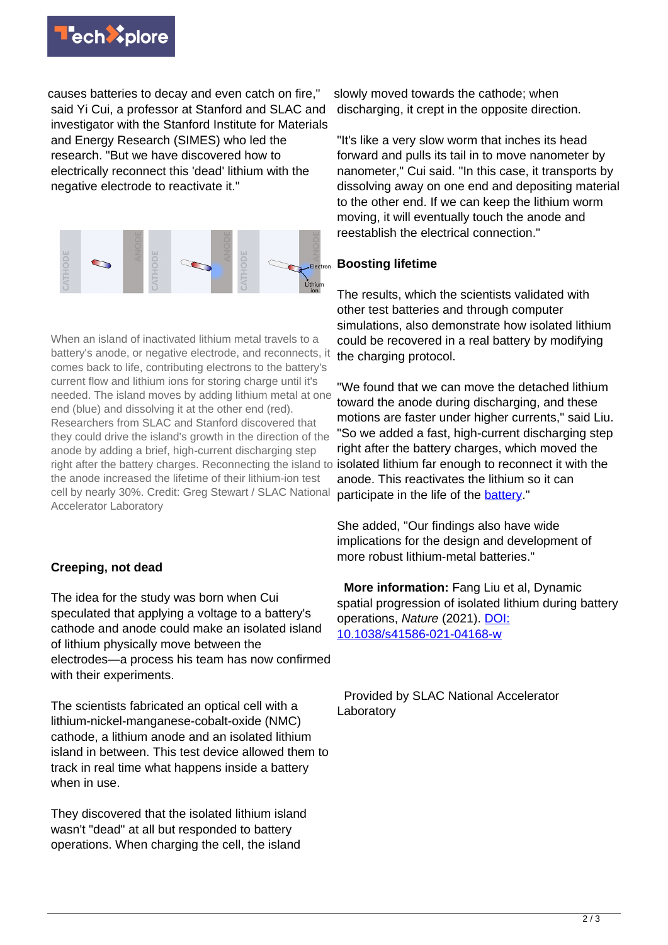

causes batteries to decay and even catch on fire," said Yi Cui, a professor at Stanford and SLAC and investigator with the Stanford Institute for Materials and Energy Research (SIMES) who led the research. "But we have discovered how to electrically reconnect this 'dead' lithium with the negative electrode to reactivate it."



When an island of inactivated lithium metal travels to a battery's anode, or negative electrode, and reconnects, it comes back to life, contributing electrons to the battery's current flow and lithium ions for storing charge until it's needed. The island moves by adding lithium metal at one end (blue) and dissolving it at the other end (red). Researchers from SLAC and Stanford discovered that they could drive the island's growth in the direction of the anode by adding a brief, high-current discharging step right after the battery charges. Reconnecting the island to the anode increased the lifetime of their lithium-ion test cell by nearly 30%. Credit: Greg Stewart / SLAC National Accelerator Laboratory

## **Creeping, not dead**

The idea for the study was born when Cui speculated that applying a voltage to a battery's cathode and anode could make an isolated island of lithium physically move between the electrodes—a process his team has now confirmed with their experiments.

The scientists fabricated an optical cell with a lithium-nickel-manganese-cobalt-oxide (NMC) cathode, a lithium anode and an isolated lithium island in between. This test device allowed them to track in real time what happens inside a battery when in use.

They discovered that the isolated lithium island wasn't "dead" at all but responded to battery operations. When charging the cell, the island

slowly moved towards the cathode; when discharging, it crept in the opposite direction.

"It's like a very slow worm that inches its head forward and pulls its tail in to move nanometer by nanometer," Cui said. "In this case, it transports by dissolving away on one end and depositing material to the other end. If we can keep the lithium worm moving, it will eventually touch the anode and reestablish the electrical connection."

## **Boosting lifetime**

The results, which the scientists validated with other test batteries and through computer simulations, also demonstrate how isolated lithium could be recovered in a real battery by modifying the charging protocol.

"We found that we can move the detached lithium toward the anode during discharging, and these motions are faster under higher currents," said Liu. "So we added a fast, high-current discharging step right after the battery charges, which moved the isolated lithium far enough to reconnect it with the anode. This reactivates the lithium so it can participate in the life of the [battery.](https://techxplore.com/tags/battery/)"

She added, "Our findings also have wide implications for the design and development of more robust lithium-metal batteries."

 **More information:** Fang Liu et al, Dynamic spatial progression of isolated lithium during battery operations, Nature (2021). [DOI:](http://dx.doi.org/10.1038/s41586-021-04168-w) [10.1038/s41586-021-04168-w](http://dx.doi.org/10.1038/s41586-021-04168-w)

 Provided by SLAC National Accelerator Laboratory